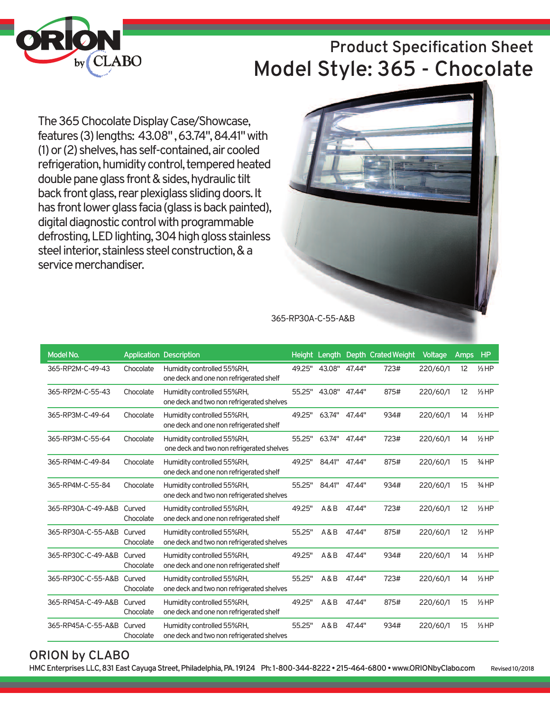

# **Product Specification Sheet Model Style: 365 - Chocolate**

The 365 Chocolate Display Case/Showcase, features(3)lengths: 43.08",63.74",84.41"with (1) or (2) shelves, has self-contained, air cooled refrigeration, humidity control, tempered heated double pane glass front & sides, hydraulic tilt back front glass, rear plexiglass sliding doors. It has front lower glass facia (glass is back painted), digital diagnostic control with programmable defrosting, LED lighting, 304 high gloss stainless steel interior, stainless steel construction, & a service merchandiser.



| Model No.                 |                     | <b>Application Description</b>                                          |        |                      |        | Height Length Depth Crated Weight | Voltage  | <b>Amps</b> | <b>HP</b>       |
|---------------------------|---------------------|-------------------------------------------------------------------------|--------|----------------------|--------|-----------------------------------|----------|-------------|-----------------|
| 365-RP2M-C-49-43          | Chocolate           | Humidity controlled 55%RH,<br>one deck and one non refrigerated shelf   | 49.25" | 43.08" 47.44"        |        | 723#                              | 220/60/1 | 12          | $1/3$ HP        |
| 365-RP2M-C-55-43          | Chocolate           | Humidity controlled 55%RH,<br>one deck and two non refrigerated shelves |        | 55.25" 43.08" 47.44" |        | 875#                              | 220/60/1 | 12          | $1/3$ HP        |
| 365-RP3M-C-49-64          | Chocolate           | Humidity controlled 55%RH,<br>one deck and one non refrigerated shelf   | 49.25" | 63.74" 47.44"        |        | 934#                              | 220/60/1 | 14          | $1/2$ HP        |
| 365-RP3M-C-55-64          | Chocolate           | Humidity controlled 55%RH,<br>one deck and two non refrigerated shelves | 55.25" | 63.74"               | 47.44" | 723#                              | 220/60/1 | 14          | $1/2$ HP        |
| 365-RP4M-C-49-84          | Chocolate           | Humidity controlled 55%RH,<br>one deck and one non refrigerated shelf   | 49.25" | 84.41"               | 47.44" | 875#                              | 220/60/1 | 15          | $3/4$ HP        |
| 365-RP4M-C-55-84          | Chocolate           | Humidity controlled 55%RH,<br>one deck and two non refrigerated shelves | 55.25" | 84.41"               | 47.44" | 934#                              | 220/60/1 | 15          | $3/4$ HP        |
| 365-RP30A-C-49-A&B        | Curved<br>Chocolate | Humidity controlled 55%RH,<br>one deck and one non refrigerated shelf   | 49.25" | A&B                  | 47.44" | 723#                              | 220/60/1 | 12          | $1/3$ HP        |
| 365-RP30A-C-55-A&B Curved | Chocolate           | Humidity controlled 55%RH,<br>one deck and two non refrigerated shelves | 55.25" | A&B                  | 47.44" | 875#                              | 220/60/1 | 12          | $1/3$ HP        |
| 365-RP30C-C-49-A&B        | Curved<br>Chocolate | Humidity controlled 55%RH,<br>one deck and one non refrigerated shelf   | 49.25" | A&B                  | 47.44" | 934#                              | 220/60/1 | 14          | $1/3$ HP        |
| 365-RP30C-C-55-A&B Curved | Chocolate           | Humidity controlled 55%RH,<br>one deck and two non refrigerated shelves | 55.25" | A&B                  | 47.44" | 723#                              | 220/60/1 | 14          | $1/3$ HP        |
| 365-RP45A-C-49-A&B        | Curved<br>Chocolate | Humidity controlled 55%RH,<br>one deck and one non refrigerated shelf   | 49.25" | A&B                  | 47.44" | 875#                              | 220/60/1 | 15          | $1/3$ HP        |
| 365-RP45A-C-55-A&B Curved | Chocolate           | Humidity controlled 55%RH,<br>one deck and two non refrigerated shelves | 55.25" | A&B                  | 47.44" | 934#                              | 220/60/1 | 15          | $\frac{1}{3}HP$ |

### **ORION by CLABO**

**HMCEnterprisesLLC,831EastCayugaStreet,Philadelphia,PA. 19124 Ph: 1-800-344-8222•215-464-6800•www.ORIONbyClabo.com Revised10/2018**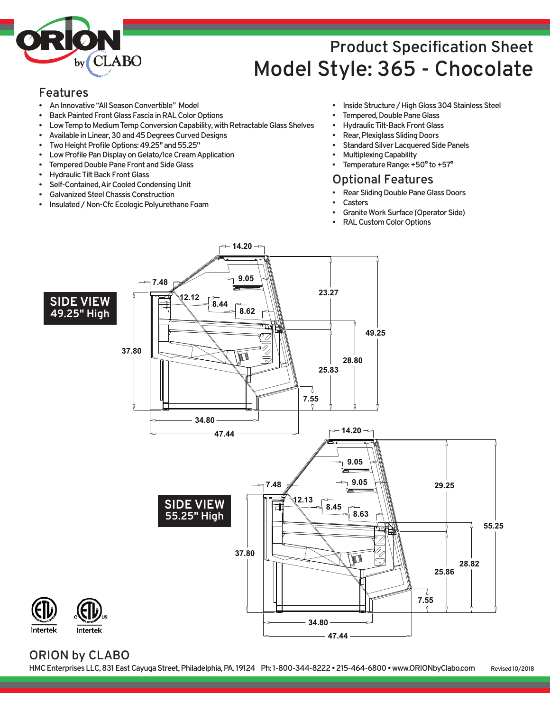

# **Product Specification Sheet Model Style: 365 - Chocolate**

#### **Features**

- **AnInnovative"AllSeasonConvertible" Model**
- **Back Painted Front Glass Fascia in RAL Color Options**
- **Low Temp to Medium Temp Conversion Capability, with Retractable Glass Shelves**
- Available in Linear, 30 and 45 Degrees Curved Designs
- Two Height Profile Options: 49.25" and 55.25"
- **Low Profile Pan Display on Gelato/Ice Cream Application**
- **Tempered Double Pane Front and Side Glass**
- **Hydraulic Tilt Back Front Glass**
- **Self-Contained,AirCooledCondensingUnit**
- **GalvanizedSteelChassisConstruction**
- **Insulated/Non-CfcEcologicPolyurethaneFoam**
- **Inside Structure / High Gloss 304 Stainless Steel**
- **Tempered, Double Pane Glass**
- **Hydraulic Tilt-Back Front Glass**
- **Rear, Plexiglass Sliding Doors**
- **Standard Silver Lacquered Side Panels**
- **MultiplexingCapability**
- **Femperature Range: +50° to +57°**

#### **Optional Features**

- **Rear Sliding Double Pane Glass Doors** 
	- **Casters**
- **Granite Work Surface (Operator Side)**
- **RALCustomColorOptions**



#### **ORION by CLABO**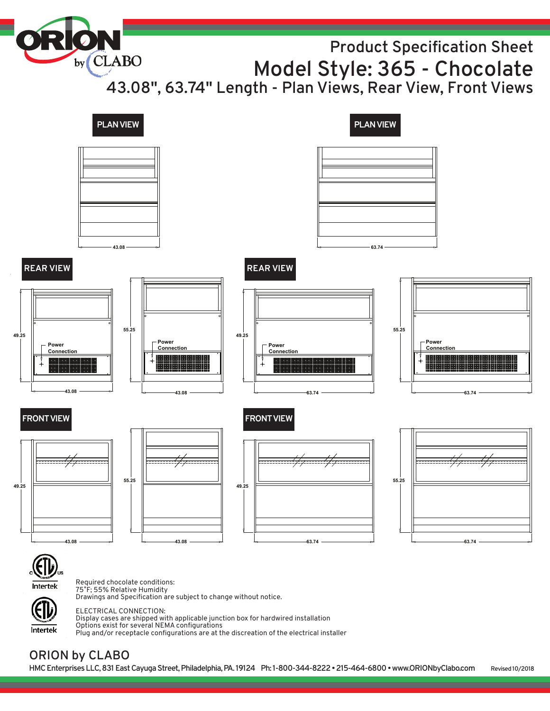by CLABO **Product Specification Sheet Model Style: 365 - Chocolate 43.08" , 63.74" Length - Plan Views, Rear View, Front Views**



ELECTRICAL CONNECTION: Display cases are shipped with applicable junction box for hardwired installation

Options exist for several NEMA configurations

Plug and/or receptacle configurations are at the discreation of the electrical installer

## **ORION by CLABO**

Intertek

**HMCEnterprisesLLC,831EastCayugaStreet,Philadelphia,PA. 19124 Ph: 1-800-344-8222•215-464-6800•www.ORIONbyClabo.com Revised10/2018**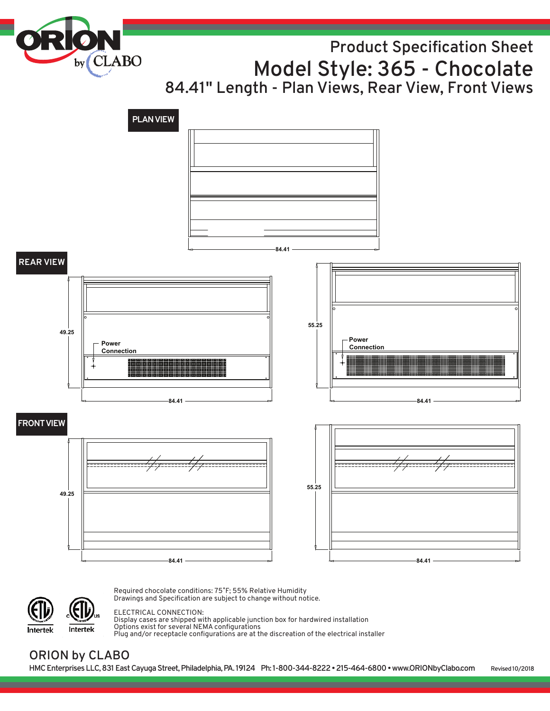by<sub>(CLABO</sub>

# **Product Specification Sheet Model Style: 365 - Chocolate 84.41" Length - Plan Views, Rear View, Front Views**





Required chocolate conditions: 75˚F; 55% Relative Humidity Drawings and Specification are subject to change without notice.

#### ELECTRICAL CONNECTION:

Display cases are shipped with applicable junction box for hardwired installation Options exist for several NEMA configurations Plug and/or receptacle configurations are at the discreation of the electrical installer

### **ORION by CLABO**